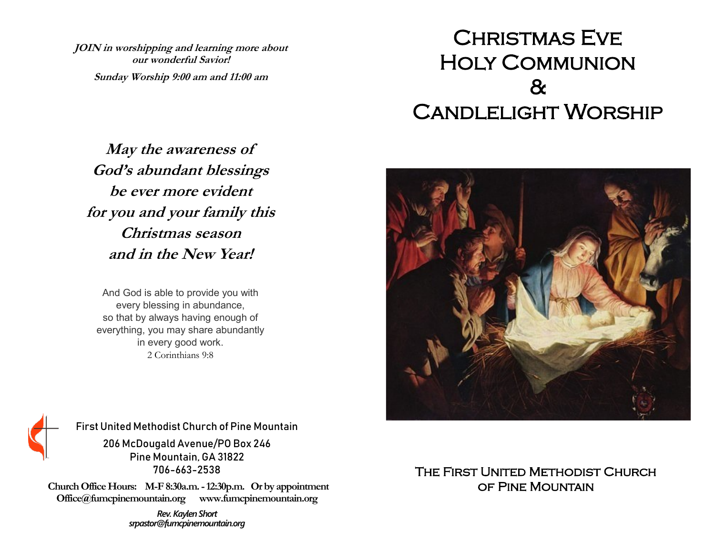**JOIN in worshipping and learning more about our wonderful Savior! Sunday Worship 9:00 am and 11:00 am**

## Christmas Eve Holy Communion & Candlelight Worship

**May the awareness of God's abundant blessings be ever more evident for you and your family this Christmas season and in the New Year!** 

And God is able to provide you with every blessing in abundance, so that by always having enough of everything, you may share abundantly in every good work. 2 Corinthians 9:8





First United Methodist Church of Pine Mountain

206 McDougald Avenue/PO Box 246 Pine Mountain, GA 31822 706-663-2538

**Church Office Hours: M-F 8:30a.m. -12:30p.m. Or by appointment Office@fumcpinemountain.org www.fumcpinemountain.org**

> *Rev. Kaylen Short srpastor@fumcpinemountain.org*

THE FIRST UNITED METHODIST CHURCH of Pine Mountain